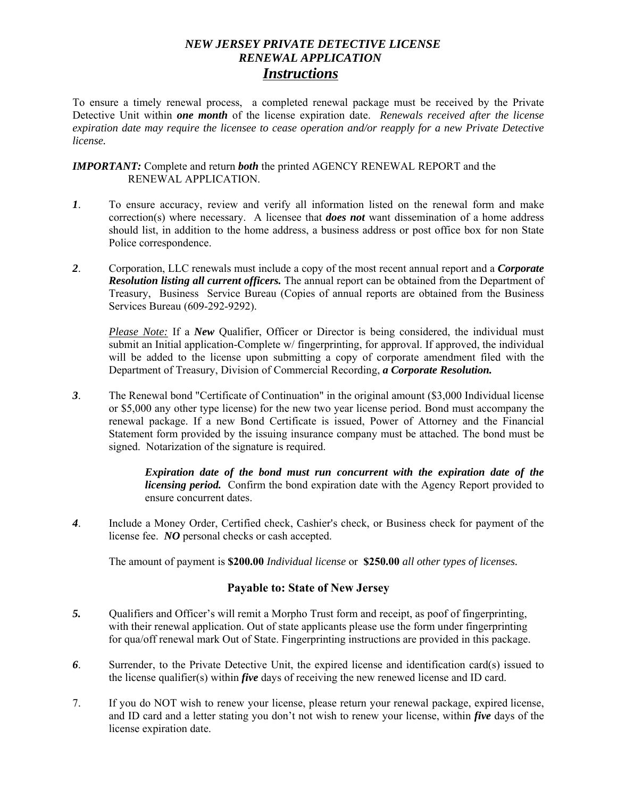# *NEW JERSEY PRIVATE DETECTIVE LICENSE RENEWAL APPLICATION Instructions*

To ensure a timely renewal process, a completed renewal package must be received by the Private Detective Unit within *one month* of the license expiration date. *Renewals received after the license expiration date may require the licensee to cease operation and/or reapply for a new Private Detective license.* 

*IMPORTANT:* Complete and return *both* the printed AGENCY RENEWAL REPORT and the RENEWAL APPLICATION.

- *1*. To ensure accuracy, review and verify all information listed on the renewal form and make correction(s) where necessary. A licensee that *does not* want dissemination of a home address should list, in addition to the home address, a business address or post office box for non State Police correspondence.
- *2*. Corporation, LLC renewals must include a copy of the most recent annual report and a *Corporate Resolution listing all current officers.* The annual report can be obtained from the Department of Treasury, Business Service Bureau (Copies of annual reports are obtained from the Business Services Bureau (609-292-9292).

*Please Note:* If a *New* Qualifier, Officer or Director is being considered, the individual must submit an Initial application-Complete w/ fingerprinting, for approval. If approved, the individual will be added to the license upon submitting a copy of corporate amendment filed with the Department of Treasury, Division of Commercial Recording, *a Corporate Resolution.*

*3*. The Renewal bond "Certificate of Continuation" in the original amount (\$3,000 Individual license or \$5,000 any other type license) for the new two year license period. Bond must accompany the renewal package. If a new Bond Certificate is issued, Power of Attorney and the Financial Statement form provided by the issuing insurance company must be attached. The bond must be signed. Notarization of the signature is required.

> *Expiration date of the bond must run concurrent with the expiration date of the licensing period.* Confirm the bond expiration date with the Agency Report provided to ensure concurrent dates.

4. Include a Money Order, Certified check, Cashier's check, or Business check for payment of the license fee. *NO* personal checks or cash accepted.

The amount of payment is **\$200.00** *Individual license* or **\$250.00** *all other types of licenses.*

### **Payable to: State of New Jersey**

- *5.* Qualifiers and Officer's will remit a Morpho Trust form and receipt, as poof of fingerprinting, with their renewal application. Out of state applicants please use the form under fingerprinting for qua/off renewal mark Out of State. Fingerprinting instructions are provided in this package.
- *6*. Surrender, to the Private Detective Unit, the expired license and identification card(s) issued to the license qualifier(s) within *five* days of receiving the new renewed license and ID card.
- 7. If you do NOT wish to renew your license, please return your renewal package, expired license, and ID card and a letter stating you don't not wish to renew your license, within *five* days of the license expiration date.